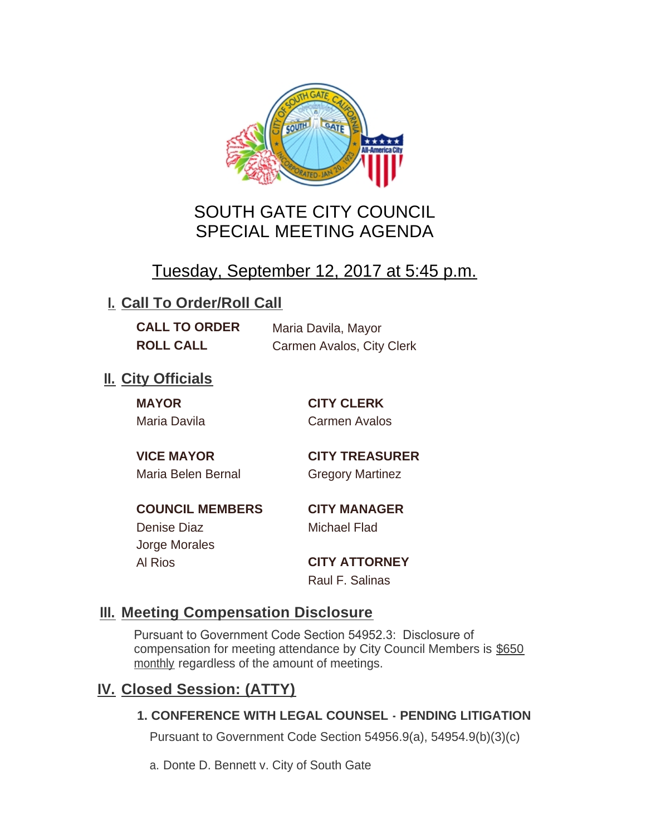

# SOUTH GATE CITY COUNCIL SPECIAL MEETING AGENDA

# Tuesday, September 12, 2017 at 5:45 p.m.

## **I. Call To Order/Roll Call**

**CALL TO ORDER** Maria Davila, Mayor

**ROLL CALL** Carmen Avalos, City Clerk

# **II.** City Officials

**MAYOR CITY CLERK**

Maria Davila Carmen Avalos

Maria Belen Bernal Gregory Martinez

**VICE MAYOR CITY TREASURER**

**COUNCIL MEMBERS CITY MANAGER** Denise Diaz Michael Flad Jorge Morales

Al Rios **CITY ATTORNEY**

Raul F. Salinas

### **Meeting Compensation Disclosure III.**

Pursuant to Government Code Section 54952.3: Disclosure of compensation for meeting attendance by City Council Members is \$650 monthly regardless of the amount of meetings.

## **Closed Session: (ATTY) IV.**

#### **1. CONFERENCE WITH LEGAL COUNSEL - PENDING LITIGATION**

Pursuant to Government Code Section 54956.9(a), 54954.9(b)(3)(c)

a. Donte D. Bennett v. City of South Gate